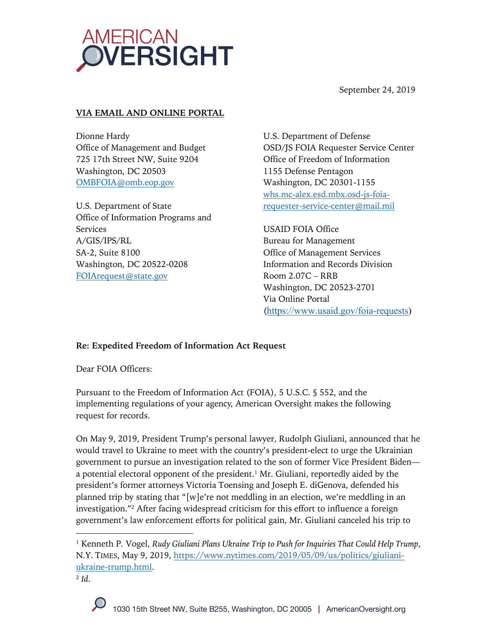

September 24, 2019

## **VIA EMAIL AND ONLINE PORTAL**

Dionne Hardy Office of Management and Budget 725 17th Street NW, Suite 9204 Washington, DC 20503 OMBFOIA@omb.eop.gov

U.S. Department of State Office of Information Programs and Services A/GIS/IPS/RL SA-2, Suite 8100 Washington, DC 20522-0208 FOIArequest@state.gov

U.S. Department of Defense OSD/JS FOIA Requester Service Center Office of Freedom of Information 1155 Defense Pentagon Washington, DC 20301-1155 whs.mc-alex.esd.mbx.osd-js-foiarequester-service-center@mail.mil

USAID FOIA Office Bureau for Management Office of Management Services Information and Records Division Room 2.07C – RRB Washington, DC 20523-2701 Via Online Portal (https://www.usaid.gov/foia-requests)

#### **Re: Expedited Freedom of Information Act Request**

Dear FOIA Officers:

Pursuant to the Freedom of Information Act (FOIA), 5 U.S.C. § 552, and the implementing regulations of your agency, American Oversight makes the following request for records.

On May 9, 2019, President Trump's personal lawyer, Rudolph Giuliani, announced that he would travel to Ukraine to meet with the country's president-elect to urge the Ukrainian government to pursue an investigation related to the son of former Vice President Biden a potential electoral opponent of the president.<sup>1</sup> Mr. Giuliani, reportedly aided by the president's former attorneys Victoria Toensing and Joseph E. diGenova, defended his planned trip by stating that "[w]e're not meddling in an election, we're meddling in an investigation."2 After facing widespread criticism for this effort to influence a foreign government's law enforcement efforts for political gain, Mr. Giuliani canceled his trip to

<sup>1</sup> Kenneth P. Vogel, *Rudy Giuliani Plans Ukraine Trip to Push for Inquiries That Could Help Trump*, N.Y. TIMES, May 9, 2019, https://www.nytimes.com/2019/05/09/us/politics/giulianiukraine-trump.html.

<sup>2</sup> *Id*.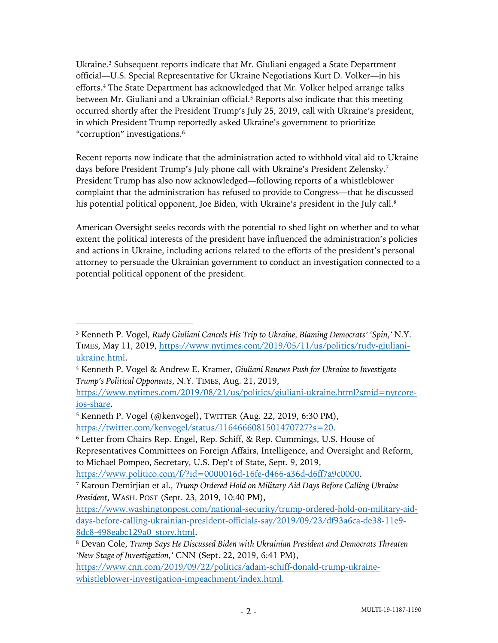Ukraine.<sup>3</sup> Subsequent reports indicate that Mr. Giuliani engaged a State Department official—U.S. Special Representative for Ukraine Negotiations Kurt D. Volker—in his efforts.4 The State Department has acknowledged that Mr. Volker helped arrange talks between Mr. Giuliani and a Ukrainian official.<sup>5</sup> Reports also indicate that this meeting occurred shortly after the President Trump's July 25, 2019, call with Ukraine's president, in which President Trump reportedly asked Ukraine's government to prioritize "corruption" investigations.6

Recent reports now indicate that the administration acted to withhold vital aid to Ukraine days before President Trump's July phone call with Ukraine's President Zelensky.<sup>7</sup> President Trump has also now acknowledged—following reports of a whistleblower complaint that the administration has refused to provide to Congress—that he discussed his potential political opponent, Joe Biden, with Ukraine's president in the July call.<sup>8</sup>

American Oversight seeks records with the potential to shed light on whether and to what extent the political interests of the president have influenced the administration's policies and actions in Ukraine, including actions related to the efforts of the president's personal attorney to persuade the Ukrainian government to conduct an investigation connected to a potential political opponent of the president.

https://www.nytimes.com/2019/08/21/us/politics/giuliani-ukraine.html?smid=nytcoreios-share.

https://www.politico.com/f/?id=0000016d-16fe-d466-a36d-d6ff7a9c0000.

<sup>3</sup> Kenneth P. Vogel, *Rudy Giuliani Cancels His Trip to Ukraine, Blaming Democrats' 'Spin*,*'* N.Y. TIMES, May 11, 2019, https://www.nytimes.com/2019/05/11/us/politics/rudy-giulianiukraine.html.

<sup>4</sup> Kenneth P. Vogel & Andrew E. Kramer, *Giuliani Renews Push for Ukraine to Investigate Trump's Political Opponents*, N.Y. TIMES, Aug. 21, 2019,

<sup>5</sup> Kenneth P. Vogel (@kenvogel), TWITTER (Aug. 22, 2019, 6:30 PM),

https://twitter.com/kenvogel/status/1164666081501470727?s=20.

<sup>6</sup> Letter from Chairs Rep. Engel, Rep. Schiff, & Rep. Cummings, U.S. House of Representatives Committees on Foreign Affairs, Intelligence, and Oversight and Reform, to Michael Pompeo, Secretary, U.S. Dep't of State, Sept. 9, 2019,

<sup>7</sup> Karoun Demirjian et al., *Trump Ordered Hold on Military Aid Days Before Calling Ukraine President*, WASH. POST (Sept. 23, 2019, 10:40 PM),

https://www.washingtonpost.com/national-security/trump-ordered-hold-on-military-aiddays-before-calling-ukrainian-president-officials-say/2019/09/23/df93a6ca-de38-11e9- 8dc8-498eabc129a0\_story.html.

<sup>8</sup> Devan Cole, *Trump Says He Discussed Biden with Ukrainian President and Democrats Threaten 'New Stage of Investigation*,*'* CNN (Sept. 22, 2019, 6:41 PM),

https://www.cnn.com/2019/09/22/politics/adam-schiff-donald-trump-ukrainewhistleblower-investigation-impeachment/index.html.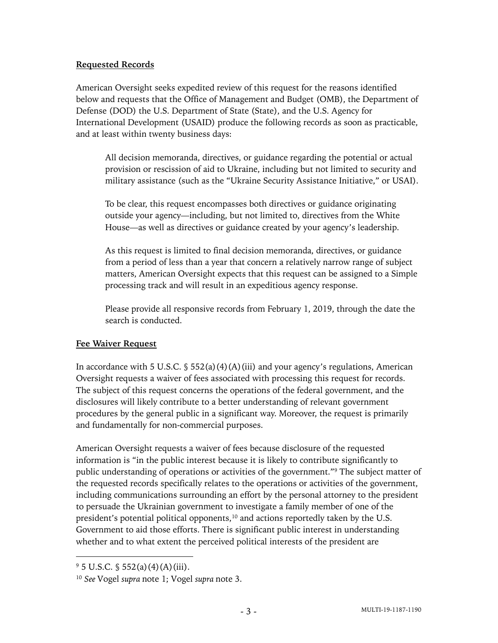# **Requested Records**

American Oversight seeks expedited review of this request for the reasons identified below and requests that the Office of Management and Budget (OMB), the Department of Defense (DOD) the U.S. Department of State (State), and the U.S. Agency for International Development (USAID) produce the following records as soon as practicable, and at least within twenty business days:

All decision memoranda, directives, or guidance regarding the potential or actual provision or rescission of aid to Ukraine, including but not limited to security and military assistance (such as the "Ukraine Security Assistance Initiative," or USAI).

To be clear, this request encompasses both directives or guidance originating outside your agency—including, but not limited to, directives from the White House—as well as directives or guidance created by your agency's leadership.

As this request is limited to final decision memoranda, directives, or guidance from a period of less than a year that concern a relatively narrow range of subject matters, American Oversight expects that this request can be assigned to a Simple processing track and will result in an expeditious agency response.

Please provide all responsive records from February 1, 2019, through the date the search is conducted.

# **Fee Waiver Request**

In accordance with 5 U.S.C.  $\frac{1}{5}$  552(a)(4)(A)(iii) and your agency's regulations, American Oversight requests a waiver of fees associated with processing this request for records. The subject of this request concerns the operations of the federal government, and the disclosures will likely contribute to a better understanding of relevant government procedures by the general public in a significant way. Moreover, the request is primarily and fundamentally for non-commercial purposes.

American Oversight requests a waiver of fees because disclosure of the requested information is "in the public interest because it is likely to contribute significantly to public understanding of operations or activities of the government."9 The subject matter of the requested records specifically relates to the operations or activities of the government, including communications surrounding an effort by the personal attorney to the president to persuade the Ukrainian government to investigate a family member of one of the president's potential political opponents,<sup>10</sup> and actions reportedly taken by the U.S. Government to aid those efforts. There is significant public interest in understanding whether and to what extent the perceived political interests of the president are

 $9\,5$  U.S.C.  $$552(a)(4)(A)(iii)$ .

<sup>10</sup> *See* Vogel *supra* note 1; Vogel *supra* note 3.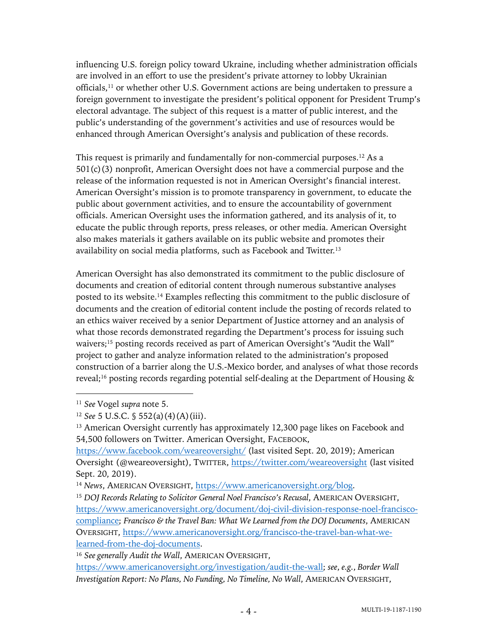influencing U.S. foreign policy toward Ukraine, including whether administration officials are involved in an effort to use the president's private attorney to lobby Ukrainian officials, <sup>11</sup> or whether other U.S. Government actions are being undertaken to pressure a foreign government to investigate the president's political opponent for President Trump's electoral advantage. The subject of this request is a matter of public interest, and the public's understanding of the government's activities and use of resources would be enhanced through American Oversight's analysis and publication of these records.

This request is primarily and fundamentally for non-commercial purposes.12 As a 501(c)(3) nonprofit, American Oversight does not have a commercial purpose and the release of the information requested is not in American Oversight's financial interest. American Oversight's mission is to promote transparency in government, to educate the public about government activities, and to ensure the accountability of government officials. American Oversight uses the information gathered, and its analysis of it, to educate the public through reports, press releases, or other media. American Oversight also makes materials it gathers available on its public website and promotes their availability on social media platforms, such as Facebook and Twitter.13

American Oversight has also demonstrated its commitment to the public disclosure of documents and creation of editorial content through numerous substantive analyses posted to its website. <sup>14</sup> Examples reflecting this commitment to the public disclosure of documents and the creation of editorial content include the posting of records related to an ethics waiver received by a senior Department of Justice attorney and an analysis of what those records demonstrated regarding the Department's process for issuing such waivers;<sup>15</sup> posting records received as part of American Oversight's "Audit the Wall" project to gather and analyze information related to the administration's proposed construction of a barrier along the U.S.-Mexico border, and analyses of what those records reveal;<sup>16</sup> posting records regarding potential self-dealing at the Department of Housing  $\&$ 

<sup>13</sup> American Oversight currently has approximately 12,300 page likes on Facebook and 54,500 followers on Twitter. American Oversight, FACEBOOK,

<sup>11</sup> *See* Vogel *supra* note 5.

<sup>12</sup> *See* 5 U.S.C. § 552(a)(4)(A)(iii).

https://www.facebook.com/weareoversight/ (last visited Sept. 20, 2019); American Oversight (@weareoversight), TWITTER, https://twitter.com/weareoversight (last visited Sept. 20, 2019).

<sup>14</sup> *News*, AMERICAN OVERSIGHT, https://www.americanoversight.org/blog.

<sup>&</sup>lt;sup>15</sup> DOJ Records Relating to Solicitor General Noel Francisco's Recusal, AMERICAN OVERSIGHT, https://www.americanoversight.org/document/doj-civil-division-response-noel-franciscocompliance; *Francisco & the Travel Ban: What We Learned from the DOJ Documents*, AMERICAN OVERSIGHT, https://www.americanoversight.org/francisco-the-travel-ban-what-welearned-from-the-doj-documents.

<sup>16</sup> *See generally Audit the Wall*, AMERICAN OVERSIGHT,

https://www.americanoversight.org/investigation/audit-the-wall; *see*, *e.g.*, *Border Wall Investigation Report: No Plans, No Funding, No Timeline, No Wall*, AMERICAN OVERSIGHT,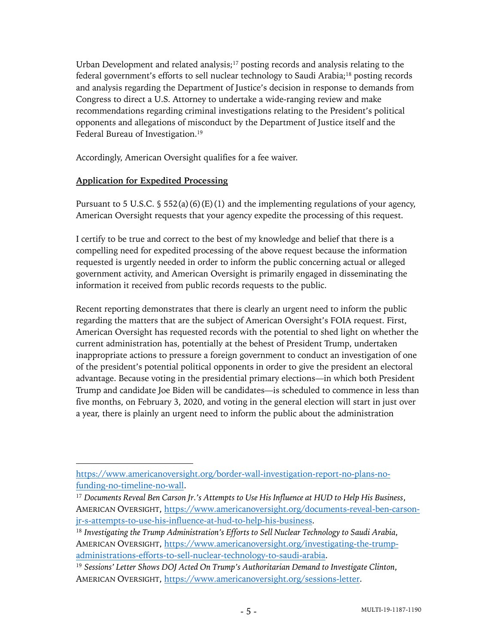Urban Development and related analysis;<sup>17</sup> posting records and analysis relating to the federal government's efforts to sell nuclear technology to Saudi Arabia;18 posting records and analysis regarding the Department of Justice's decision in response to demands from Congress to direct a U.S. Attorney to undertake a wide-ranging review and make recommendations regarding criminal investigations relating to the President's political opponents and allegations of misconduct by the Department of Justice itself and the Federal Bureau of Investigation.19

Accordingly, American Oversight qualifies for a fee waiver.

#### **Application for Expedited Processing**

Pursuant to 5 U.S.C.  $\S$  552(a)(6)(E)(1) and the implementing regulations of your agency, American Oversight requests that your agency expedite the processing of this request.

I certify to be true and correct to the best of my knowledge and belief that there is a compelling need for expedited processing of the above request because the information requested is urgently needed in order to inform the public concerning actual or alleged government activity, and American Oversight is primarily engaged in disseminating the information it received from public records requests to the public.

Recent reporting demonstrates that there is clearly an urgent need to inform the public regarding the matters that are the subject of American Oversight's FOIA request. First, American Oversight has requested records with the potential to shed light on whether the current administration has, potentially at the behest of President Trump, undertaken inappropriate actions to pressure a foreign government to conduct an investigation of one of the president's potential political opponents in order to give the president an electoral advantage. Because voting in the presidential primary elections—in which both President Trump and candidate Joe Biden will be candidates—is scheduled to commence in less than five months, on February 3, 2020, and voting in the general election will start in just over a year, there is plainly an urgent need to inform the public about the administration

https://www.americanoversight.org/border-wall-investigation-report-no-plans-nofunding-no-timeline-no-wall.

<sup>17</sup> *Documents Reveal Ben Carson Jr.'s Attempts to Use His Influence at HUD to Help His Business*, AMERICAN OVERSIGHT, https://www.americanoversight.org/documents-reveal-ben-carsonjr-s-attempts-to-use-his-influence-at-hud-to-help-his-business.

<sup>18</sup> *Investigating the Trump Administration's Efforts to Sell Nuclear Technology to Saudi Arabia*, AMERICAN OVERSIGHT, https://www.americanoversight.org/investigating-the-trumpadministrations-efforts-to-sell-nuclear-technology-to-saudi-arabia.

<sup>19</sup> *Sessions' Letter Shows DOJ Acted On Trump's Authoritarian Demand to Investigate Clinton*, AMERICAN OVERSIGHT, https://www.americanoversight.org/sessions-letter.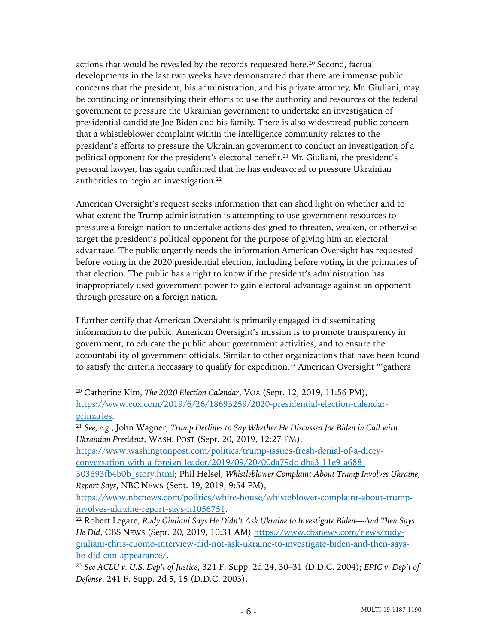actions that would be revealed by the records requested here.<sup>20</sup> Second, factual developments in the last two weeks have demonstrated that there are immense public concerns that the president, his administration, and his private attorney, Mr. Giuliani, may be continuing or intensifying their efforts to use the authority and resources of the federal government to pressure the Ukrainian government to undertake an investigation of presidential candidate Joe Biden and his family. There is also widespread public concern that a whistleblower complaint within the intelligence community relates to the president's efforts to pressure the Ukrainian government to conduct an investigation of a political opponent for the president's electoral benefit.<sup>21</sup> Mr. Giuliani, the president's personal lawyer, has again confirmed that he has endeavored to pressure Ukrainian authorities to begin an investigation.22

American Oversight's request seeks information that can shed light on whether and to what extent the Trump administration is attempting to use government resources to pressure a foreign nation to undertake actions designed to threaten, weaken, or otherwise target the president's political opponent for the purpose of giving him an electoral advantage. The public urgently needs the information American Oversight has requested before voting in the 2020 presidential election, including before voting in the primaries of that election. The public has a right to know if the president's administration has inappropriately used government power to gain electoral advantage against an opponent through pressure on a foreign nation.

I further certify that American Oversight is primarily engaged in disseminating information to the public. American Oversight's mission is to promote transparency in government, to educate the public about government activities, and to ensure the accountability of government officials. Similar to other organizations that have been found to satisfy the criteria necessary to qualify for expedition,<sup>23</sup> American Oversight "'gathers

<sup>21</sup> *See, e.g.*, John Wagner, *Trump Declines to Say Whether He Discussed Joe Biden in Call with Ukrainian President*, WASH. POST (Sept. 20, 2019, 12:27 PM),

https://www.washingtonpost.com/politics/trump-issues-fresh-denial-of-a-diceyconversation-with-a-foreign-leader/2019/09/20/00da79dc-dba3-11e9-a688-

303693fb4b0b\_story.html; Phil Helsel, *Whistleblower Complaint About Trump Involves Ukraine, Report Says*, NBC NEWS (Sept. 19, 2019, 9:54 PM),

https://www.nbcnews.com/politics/white-house/whisteblower-complaint-about-trumpinvolves-ukraine-report-says-n1056751.

<sup>20</sup> Catherine Kim, *The 2020 Election Calendar*, VOX (Sept. 12, 2019, 11:56 PM), https://www.vox.com/2019/6/26/18693259/2020-presidential-election-calendarprimaries.

<sup>22</sup> Robert Legare, *Rudy Giuliani Says He Didn't Ask Ukraine to Investigate Biden—And Then Says He Did*, CBS NEWS (Sept. 20, 2019, 10:31 AM) https://www.cbsnews.com/news/rudygiuliani-chris-cuomo-interview-did-not-ask-ukraine-to-investigate-biden-and-then-sayshe-did-cnn-appearance/.

<sup>23</sup> *See ACLU v. U.S. Dep't of Justice*, 321 F. Supp. 2d 24, 30–31 (D.D.C. 2004); *EPIC v. Dep't of Defense*, 241 F. Supp. 2d 5, 15 (D.D.C. 2003).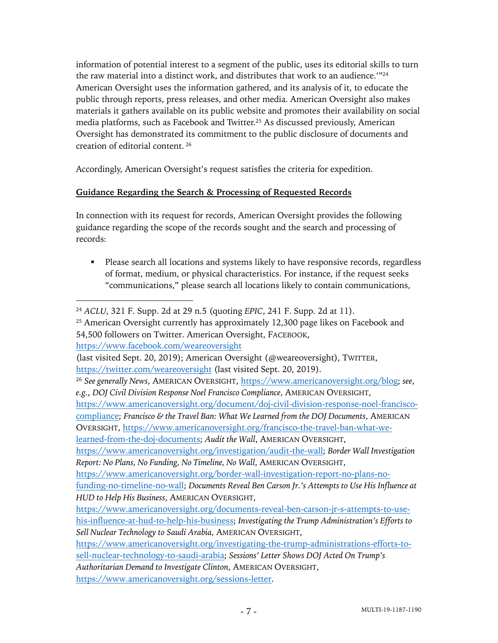information of potential interest to a segment of the public, uses its editorial skills to turn the raw material into a distinct work, and distributes that work to an audience.'"24 American Oversight uses the information gathered, and its analysis of it, to educate the public through reports, press releases, and other media. American Oversight also makes materials it gathers available on its public website and promotes their availability on social media platforms, such as Facebook and Twitter.<sup>25</sup> As discussed previously, American Oversight has demonstrated its commitment to the public disclosure of documents and creation of editorial content. <sup>26</sup>

Accordingly, American Oversight's request satisfies the criteria for expedition.

# **Guidance Regarding the Search & Processing of Requested Records**

In connection with its request for records, American Oversight provides the following guidance regarding the scope of the records sought and the search and processing of records:

• Please search all locations and systems likely to have responsive records, regardless of format, medium, or physical characteristics. For instance, if the request seeks "communications," please search all locations likely to contain communications,

<sup>25</sup> American Oversight currently has approximately 12,300 page likes on Facebook and 54,500 followers on Twitter. American Oversight, FACEBOOK,

https://www.facebook.com/weareoversight

<sup>24</sup> *ACLU*, 321 F. Supp. 2d at 29 n.5 (quoting *EPIC*, 241 F. Supp. 2d at 11).

<sup>(</sup>last visited Sept. 20, 2019); American Oversight (@weareoversight), TWITTER, https://twitter.com/weareoversight (last visited Sept. 20, 2019).

<sup>26</sup> *See generally News*, AMERICAN OVERSIGHT, https://www.americanoversight.org/blog; *see*, *e.g.*, *DOJ Civil Division Response Noel Francisco Compliance*, AMERICAN OVERSIGHT,

https://www.americanoversight.org/document/doj-civil-division-response-noel-franciscocompliance; *Francisco & the Travel Ban: What We Learned from the DOJ Documents*, AMERICAN OVERSIGHT, https://www.americanoversight.org/francisco-the-travel-ban-what-welearned-from-the-doj-documents; *Audit the Wall*, AMERICAN OVERSIGHT,

https://www.americanoversight.org/investigation/audit-the-wall; *Border Wall Investigation Report: No Plans, No Funding, No Timeline, No Wall*, AMERICAN OVERSIGHT,

https://www.americanoversight.org/border-wall-investigation-report-no-plans-nofunding-no-timeline-no-wall; *Documents Reveal Ben Carson Jr.'s Attempts to Use His Influence at HUD to Help His Business*, AMERICAN OVERSIGHT,

https://www.americanoversight.org/documents-reveal-ben-carson-jr-s-attempts-to-usehis-influence-at-hud-to-help-his-business; *Investigating the Trump Administration's Efforts to Sell Nuclear Technology to Saudi Arabia*, AMERICAN OVERSIGHT,

https://www.americanoversight.org/investigating-the-trump-administrations-efforts-tosell-nuclear-technology-to-saudi-arabia; *Sessions' Letter Shows DOJ Acted On Trump's* 

*Authoritarian Demand to Investigate Clinton*, AMERICAN OVERSIGHT,

https://www.americanoversight.org/sessions-letter.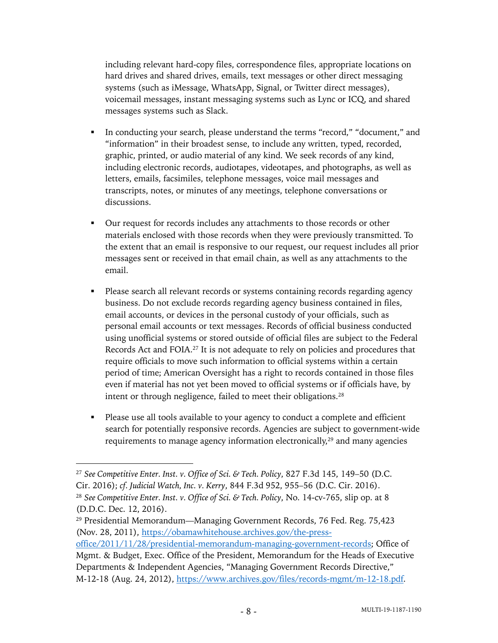including relevant hard-copy files, correspondence files, appropriate locations on hard drives and shared drives, emails, text messages or other direct messaging systems (such as iMessage, WhatsApp, Signal, or Twitter direct messages), voicemail messages, instant messaging systems such as Lync or ICQ, and shared messages systems such as Slack.

- § In conducting your search, please understand the terms "record," "document," and "information" in their broadest sense, to include any written, typed, recorded, graphic, printed, or audio material of any kind. We seek records of any kind, including electronic records, audiotapes, videotapes, and photographs, as well as letters, emails, facsimiles, telephone messages, voice mail messages and transcripts, notes, or minutes of any meetings, telephone conversations or discussions.
- Our request for records includes any attachments to those records or other materials enclosed with those records when they were previously transmitted. To the extent that an email is responsive to our request, our request includes all prior messages sent or received in that email chain, as well as any attachments to the email.
- § Please search all relevant records or systems containing records regarding agency business. Do not exclude records regarding agency business contained in files, email accounts, or devices in the personal custody of your officials, such as personal email accounts or text messages. Records of official business conducted using unofficial systems or stored outside of official files are subject to the Federal Records Act and FOIA.27 It is not adequate to rely on policies and procedures that require officials to move such information to official systems within a certain period of time; American Oversight has a right to records contained in those files even if material has not yet been moved to official systems or if officials have, by intent or through negligence, failed to meet their obligations.28
- § Please use all tools available to your agency to conduct a complete and efficient search for potentially responsive records. Agencies are subject to government-wide requirements to manage agency information electronically,<sup>29</sup> and many agencies

<sup>27</sup> *See Competitive Enter. Inst. v. Office of Sci. & Tech. Policy*, 827 F.3d 145, 149–50 (D.C. Cir. 2016); *cf. Judicial Watch, Inc. v. Kerry*, 844 F.3d 952, 955–56 (D.C. Cir. 2016). <sup>28</sup> *See Competitive Enter. Inst. v. Office of Sci. & Tech. Policy*, No. 14-cv-765, slip op. at 8 (D.D.C. Dec. 12, 2016).

<sup>29</sup> Presidential Memorandum—Managing Government Records, 76 Fed. Reg. 75,423 (Nov. 28, 2011), https://obamawhitehouse.archives.gov/the-press-

office/2011/11/28/presidential-memorandum-managing-government-records; Office of Mgmt. & Budget, Exec. Office of the President, Memorandum for the Heads of Executive Departments & Independent Agencies, "Managing Government Records Directive," M-12-18 (Aug. 24, 2012), https://www.archives.gov/files/records-mgmt/m-12-18.pdf.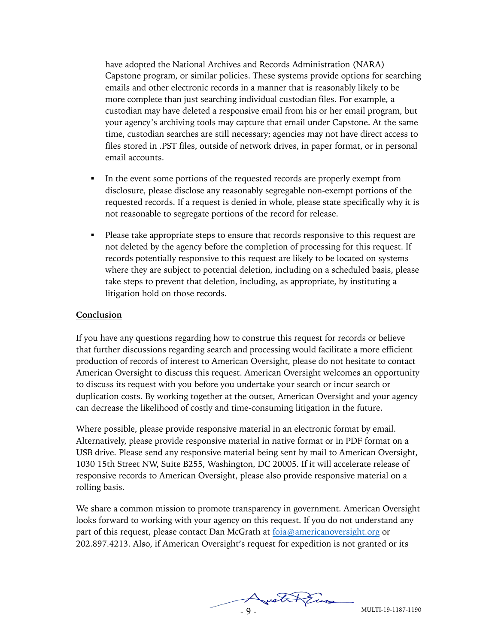have adopted the National Archives and Records Administration (NARA) Capstone program, or similar policies. These systems provide options for searching emails and other electronic records in a manner that is reasonably likely to be more complete than just searching individual custodian files. For example, a custodian may have deleted a responsive email from his or her email program, but your agency's archiving tools may capture that email under Capstone. At the same time, custodian searches are still necessary; agencies may not have direct access to files stored in .PST files, outside of network drives, in paper format, or in personal email accounts.

- In the event some portions of the requested records are properly exempt from disclosure, please disclose any reasonably segregable non-exempt portions of the requested records. If a request is denied in whole, please state specifically why it is not reasonable to segregate portions of the record for release.
- Please take appropriate steps to ensure that records responsive to this request are not deleted by the agency before the completion of processing for this request. If records potentially responsive to this request are likely to be located on systems where they are subject to potential deletion, including on a scheduled basis, please take steps to prevent that deletion, including, as appropriate, by instituting a litigation hold on those records.

#### **Conclusion**

If you have any questions regarding how to construe this request for records or believe that further discussions regarding search and processing would facilitate a more efficient production of records of interest to American Oversight, please do not hesitate to contact American Oversight to discuss this request. American Oversight welcomes an opportunity to discuss its request with you before you undertake your search or incur search or duplication costs. By working together at the outset, American Oversight and your agency can decrease the likelihood of costly and time-consuming litigation in the future.

Where possible, please provide responsive material in an electronic format by email. Alternatively, please provide responsive material in native format or in PDF format on a USB drive. Please send any responsive material being sent by mail to American Oversight, 1030 15th Street NW, Suite B255, Washington, DC 20005. If it will accelerate release of responsive records to American Oversight, please also provide responsive material on a rolling basis.

We share a common mission to promote transparency in government. American Oversight looks forward to working with your agency on this request. If you do not understand any part of this request, please contact Dan McGrath at foia@americanoversight.org or 202.897.4213. Also, if American Oversight's request for expedition is not granted or its

MULTI-19-1187-1190